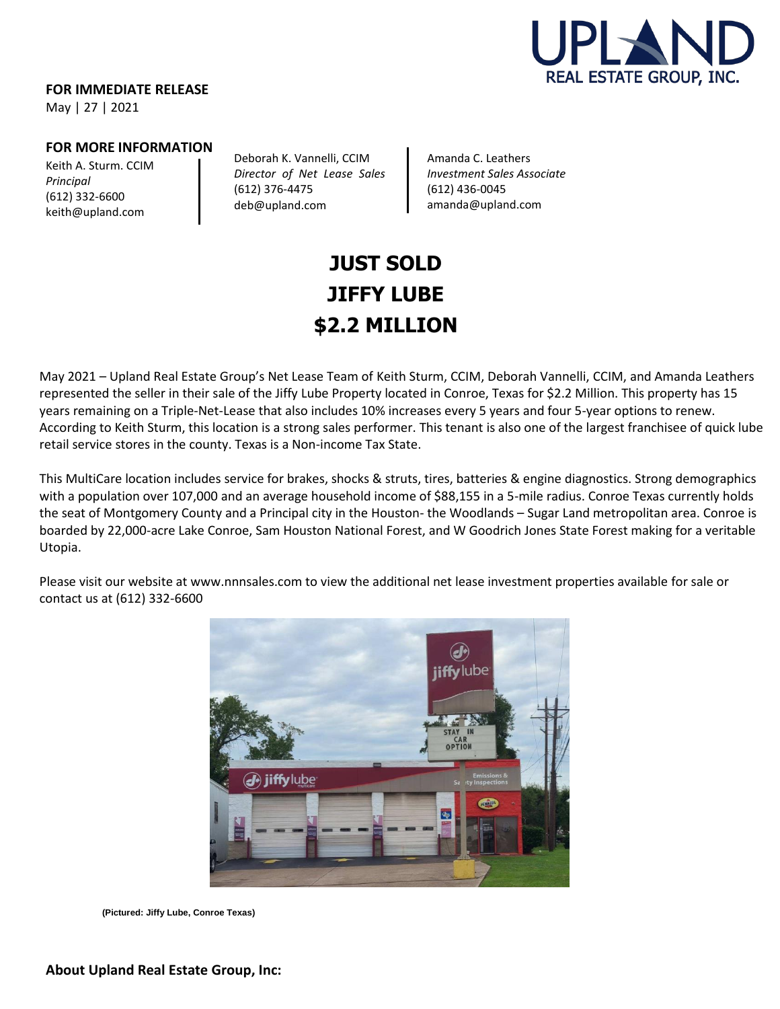

**FOR IMMEDIATE RELEASE**

May | 27 | 2021

## **FOR MORE INFORMATION**

Keith A. Sturm. CCIM *Principal* (612) 332-6600 [keith@upland.com](mailto:keith@upland.com)

Deborah K. Vannelli, CCIM *Director of Net Lease Sales*  (612) 376-4475 deb@upland.com

Amanda C. Leathers *Investment Sales Associate* (612) 436-0045 [amanda@upland.com](mailto:amanda@upland.com)

## **JUST SOLD JIFFY LUBE \$2.2 MILLION**

May 2021 – Upland Real Estate Group's Net Lease Team of Keith Sturm, CCIM, Deborah Vannelli, CCIM, and Amanda Leathers represented the seller in their sale of the Jiffy Lube Property located in Conroe, Texas for \$2.2 Million. This property has 15 years remaining on a Triple-Net-Lease that also includes 10% increases every 5 years and four 5-year options to renew. According to Keith Sturm, this location is a strong sales performer. This tenant is also one of the largest franchisee of quick lube retail service stores in the county. Texas is a Non-income Tax State.

This MultiCare location includes service for brakes, shocks & struts, tires, batteries & engine diagnostics. Strong demographics with a population over 107,000 and an average household income of \$88,155 in a 5-mile radius. Conroe Texas currently holds the seat of Montgomery County and a Principal city in the Houston- the Woodlands – Sugar Land metropolitan area. Conroe is boarded by 22,000-acre Lake Conroe, Sam Houston National Forest, and W Goodrich Jones State Forest making for a veritable Utopia.

Please visit our website a[t www.nnnsales.com](http://www.nnnsales.com/) to view the additional net lease investment properties available for sale or contact us at (612) 332-6600



**(Pictured: Jiffy Lube, Conroe Texas)**